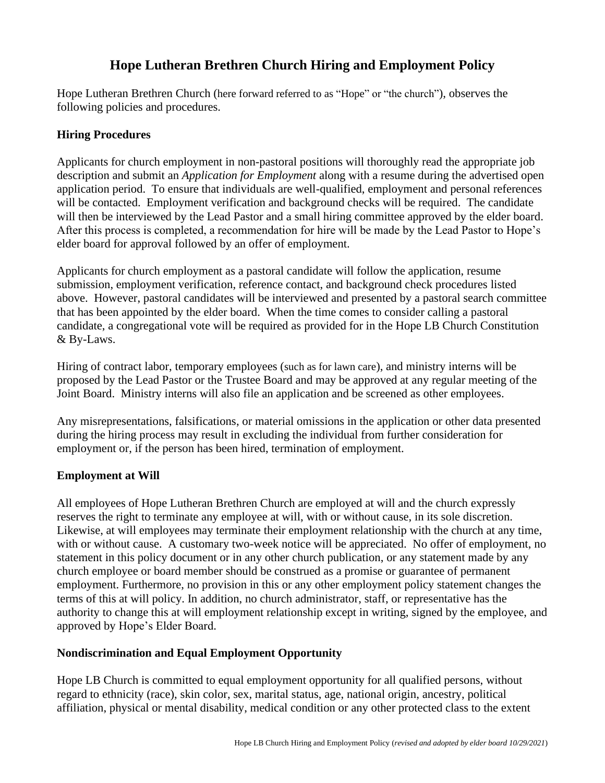# **Hope Lutheran Brethren Church Hiring and Employment Policy**

Hope Lutheran Brethren Church (here forward referred to as "Hope" or "the church"), observes the following policies and procedures.

### **Hiring Procedures**

Applicants for church employment in non-pastoral positions will thoroughly read the appropriate job description and submit an *Application for Employment* along with a resume during the advertised open application period. To ensure that individuals are well-qualified, employment and personal references will be contacted. Employment verification and background checks will be required. The candidate will then be interviewed by the Lead Pastor and a small hiring committee approved by the elder board. After this process is completed, a recommendation for hire will be made by the Lead Pastor to Hope's elder board for approval followed by an offer of employment.

Applicants for church employment as a pastoral candidate will follow the application, resume submission, employment verification, reference contact, and background check procedures listed above. However, pastoral candidates will be interviewed and presented by a pastoral search committee that has been appointed by the elder board. When the time comes to consider calling a pastoral candidate, a congregational vote will be required as provided for in the Hope LB Church Constitution & By-Laws.

Hiring of contract labor, temporary employees (such as for lawn care), and ministry interns will be proposed by the Lead Pastor or the Trustee Board and may be approved at any regular meeting of the Joint Board. Ministry interns will also file an application and be screened as other employees.

Any misrepresentations, falsifications, or material omissions in the application or other data presented during the hiring process may result in excluding the individual from further consideration for employment or, if the person has been hired, termination of employment.

## **Employment at Will**

All employees of Hope Lutheran Brethren Church are employed at will and the church expressly reserves the right to terminate any employee at will, with or without cause, in its sole discretion. Likewise, at will employees may terminate their employment relationship with the church at any time, with or without cause. A customary two-week notice will be appreciated. No offer of employment, no statement in this policy document or in any other church publication, or any statement made by any church employee or board member should be construed as a promise or guarantee of permanent employment. Furthermore, no provision in this or any other employment policy statement changes the terms of this at will policy. In addition, no church administrator, staff, or representative has the authority to change this at will employment relationship except in writing, signed by the employee, and approved by Hope's Elder Board.

#### **Nondiscrimination and Equal Employment Opportunity**

Hope LB Church is committed to equal employment opportunity for all qualified persons, without regard to ethnicity (race), skin color, sex, marital status, age, national origin, ancestry, political affiliation, physical or mental disability, medical condition or any other protected class to the extent